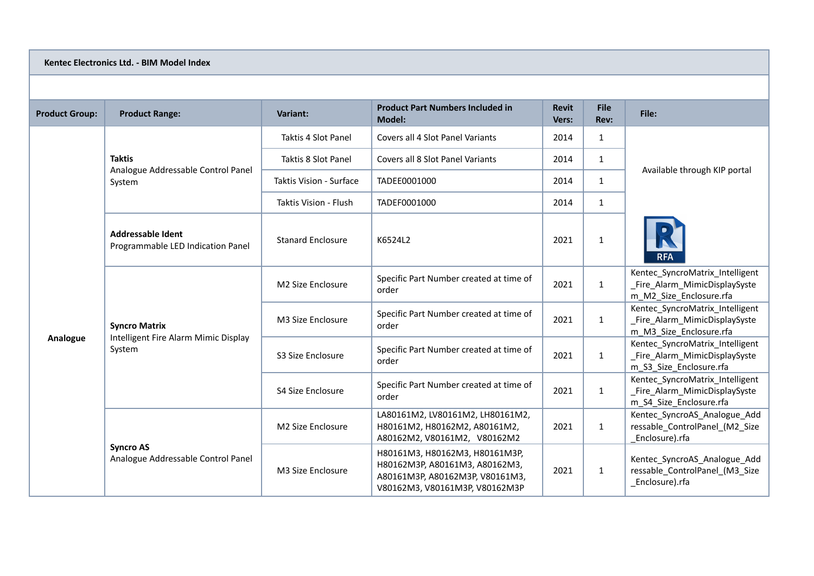## **Kentec Electronics Ltd. - BIM Model Index**

| <b>Product Group:</b> | <b>Product Range:</b>                                                  | <b>Variant:</b>          | <b>Product Part Numbers Included in</b><br><b>Model:</b>                                                                              | <b>Revit</b><br>Vers: | <b>File</b><br>Rev: | File:                                                                                       |
|-----------------------|------------------------------------------------------------------------|--------------------------|---------------------------------------------------------------------------------------------------------------------------------------|-----------------------|---------------------|---------------------------------------------------------------------------------------------|
| Analogue              | <b>Taktis</b><br>Analogue Addressable Control Panel<br>System          | Taktis 4 Slot Panel      | Covers all 4 Slot Panel Variants                                                                                                      | 2014                  | $\mathbf{1}$        |                                                                                             |
|                       |                                                                        | Taktis 8 Slot Panel      | Covers all 8 Slot Panel Variants                                                                                                      | 2014                  | $\mathbf{1}$        | Available through KIP portal                                                                |
|                       |                                                                        | Taktis Vision - Surface  | TADEE0001000                                                                                                                          | 2014                  | $\mathbf{1}$        |                                                                                             |
|                       |                                                                        | Taktis Vision - Flush    | TADEF0001000                                                                                                                          | 2014                  | $\mathbf{1}$        |                                                                                             |
|                       | <b>Addressable Ident</b><br>Programmable LED Indication Panel          | <b>Stanard Enclosure</b> | K6524L2                                                                                                                               | 2021                  | 1                   | <b>RFA</b>                                                                                  |
|                       | <b>Syncro Matrix</b><br>Intelligent Fire Alarm Mimic Display<br>System | M2 Size Enclosure        | Specific Part Number created at time of<br>order                                                                                      | 2021                  | $\mathbf{1}$        | Kentec_SyncroMatrix_Intelligent<br>Fire Alarm MimicDisplaySyste<br>m M2 Size Enclosure.rfa  |
|                       |                                                                        | M3 Size Enclosure        | Specific Part Number created at time of<br>order                                                                                      | 2021                  | $\mathbf{1}$        | Kentec_SyncroMatrix_Intelligent<br>_Fire_Alarm_MimicDisplaySyste<br>m M3 Size Enclosure.rfa |
|                       |                                                                        | S3 Size Enclosure        | Specific Part Number created at time of<br>order                                                                                      | 2021                  | $\mathbf{1}$        | Kentec_SyncroMatrix_Intelligent<br>_Fire_Alarm_MimicDisplaySyste<br>m S3 Size Enclosure.rfa |
|                       |                                                                        | S4 Size Enclosure        | Specific Part Number created at time of<br>order                                                                                      | 2021                  | 1                   | Kentec SyncroMatrix Intelligent<br>_Fire_Alarm_MimicDisplaySyste<br>m S4 Size Enclosure.rfa |
|                       | <b>Syncro AS</b><br>Analogue Addressable Control Panel                 | M2 Size Enclosure        | LA80161M2, LV80161M2, LH80161M2,<br>H80161M2, H80162M2, A80161M2,<br>A80162M2, V80161M2, V80162M2                                     | 2021                  | 1                   | Kentec SyncroAS Analogue Add<br>ressable ControlPanel (M2 Size<br>Enclosure).rfa            |
|                       |                                                                        | M3 Size Enclosure        | H80161M3, H80162M3, H80161M3P,<br>H80162M3P, A80161M3, A80162M3,<br>A80161M3P, A80162M3P, V80161M3,<br>V80162M3, V80161M3P, V80162M3P | 2021                  | $\mathbf{1}$        | Kentec_SyncroAS_Analogue_Add<br>ressable ControlPanel (M3 Size<br>Enclosure).rfa            |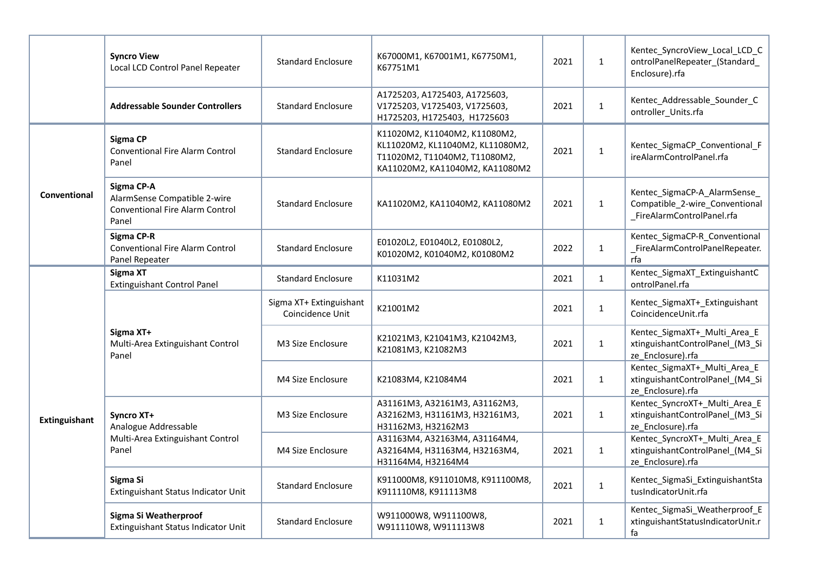|               | <b>Syncro View</b><br>Local LCD Control Panel Repeater                                        | <b>Standard Enclosure</b>                   | K67000M1, K67001M1, K67750M1,<br>K67751M1                                                                                             | 2021 | $\mathbf{1}$ | Kentec_SyncroView_Local_LCD_C<br>ontrolPanelRepeater_(Standard_<br>Enclosure).rfa            |
|---------------|-----------------------------------------------------------------------------------------------|---------------------------------------------|---------------------------------------------------------------------------------------------------------------------------------------|------|--------------|----------------------------------------------------------------------------------------------|
|               | <b>Addressable Sounder Controllers</b>                                                        | <b>Standard Enclosure</b>                   | A1725203, A1725403, A1725603,<br>V1725203, V1725403, V1725603,<br>H1725203, H1725403, H1725603                                        | 2021 | $\mathbf{1}$ | Kentec_Addressable_Sounder_C<br>ontroller_Units.rfa                                          |
| Conventional  | <b>Sigma CP</b><br><b>Conventional Fire Alarm Control</b><br>Panel                            | <b>Standard Enclosure</b>                   | K11020M2, K11040M2, K11080M2,<br>KL11020M2, KL11040M2, KL11080M2,<br>T11020M2, T11040M2, T11080M2,<br>KA11020M2, KA11040M2, KA11080M2 | 2021 | $\mathbf{1}$ | Kentec_SigmaCP_Conventional_F<br>ireAlarmControlPanel.rfa                                    |
|               | Sigma CP-A<br>AlarmSense Compatible 2-wire<br><b>Conventional Fire Alarm Control</b><br>Panel | <b>Standard Enclosure</b>                   | KA11020M2, KA11040M2, KA11080M2                                                                                                       | 2021 | $\mathbf{1}$ | Kentec_SigmaCP-A_AlarmSense_<br>Compatible_2-wire_Conventional<br>_FireAlarmControlPanel.rfa |
|               | Sigma CP-R<br><b>Conventional Fire Alarm Control</b><br>Panel Repeater                        | <b>Standard Enclosure</b>                   | E01020L2, E01040L2, E01080L2,<br>K01020M2, K01040M2, K01080M2                                                                         | 2022 | $\mathbf{1}$ | Kentec_SigmaCP-R_Conventional<br>FireAlarmControlPanelRepeater.<br>rfa                       |
|               | Sigma XT<br><b>Extinguishant Control Panel</b>                                                | <b>Standard Enclosure</b>                   | K11031M2                                                                                                                              | 2021 | $\mathbf{1}$ | Kentec_SigmaXT_ExtinguishantC<br>ontrolPanel.rfa                                             |
| Extinguishant | Sigma XT+<br>Multi-Area Extinguishant Control<br>Panel                                        | Sigma XT+ Extinguishant<br>Coincidence Unit | K21001M2                                                                                                                              | 2021 | $\mathbf{1}$ | Kentec_SigmaXT+_Extinguishant<br>CoincidenceUnit.rfa                                         |
|               |                                                                                               | M3 Size Enclosure                           | K21021M3, K21041M3, K21042M3,<br>K21081M3, K21082M3                                                                                   | 2021 | $\mathbf{1}$ | Kentec_SigmaXT+_Multi_Area_E<br>xtinguishantControlPanel_(M3_Si<br>ze_Enclosure).rfa         |
|               |                                                                                               | M4 Size Enclosure                           | K21083M4, K21084M4                                                                                                                    | 2021 | $\mathbf{1}$ | Kentec_SigmaXT+_Multi_Area_E<br>xtinguishantControlPanel_(M4_Si<br>ze_Enclosure).rfa         |
|               | Syncro XT+<br>Analogue Addressable<br>Multi-Area Extinguishant Control<br>Panel               | M3 Size Enclosure                           | A31161M3, A32161M3, A31162M3,<br>A32162M3, H31161M3, H32161M3,<br>H31162M3, H32162M3                                                  | 2021 | $\mathbf{1}$ | Kentec_SyncroXT+_Multi_Area_E<br>xtinguishantControlPanel_(M3_Si<br>ze_Enclosure).rfa        |
|               |                                                                                               | M4 Size Enclosure                           | A31163M4, A32163M4, A31164M4,<br>A32164M4, H31163M4, H32163M4,<br>H31164M4, H32164M4                                                  | 2021 | $\mathbf{1}$ | Kentec_SyncroXT+_Multi_Area_E<br>xtinguishantControlPanel (M4 Si<br>ze_Enclosure).rfa        |
|               | Sigma Si<br>Extinguishant Status Indicator Unit                                               | <b>Standard Enclosure</b>                   | K911000M8, K911010M8, K911100M8,<br>K911110M8, K911113M8                                                                              | 2021 | $\mathbf{1}$ | Kentec_SigmaSi_ExtinguishantSta<br>tusIndicatorUnit.rfa                                      |
|               | Sigma Si Weatherproof<br>Extinguishant Status Indicator Unit                                  | <b>Standard Enclosure</b>                   | W911000W8, W911100W8,<br>W911110W8, W911113W8                                                                                         | 2021 | $\mathbf{1}$ | Kentec_SigmaSi_Weatherproof_E<br>xtinguishantStatusIndicatorUnit.r<br>fa                     |